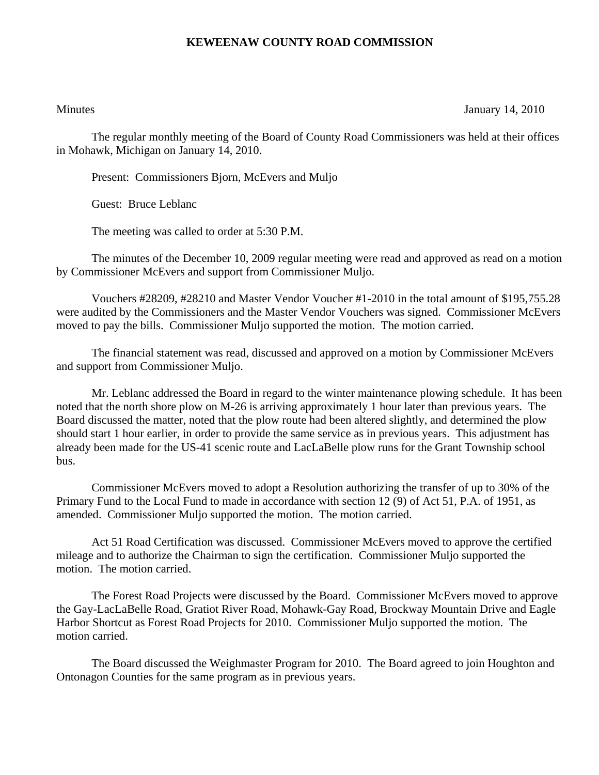## **KEWEENAW COUNTY ROAD COMMISSION**

Minutes January 14, 2010

The regular monthly meeting of the Board of County Road Commissioners was held at their offices in Mohawk, Michigan on January 14, 2010.

Present: Commissioners Bjorn, McEvers and Muljo

Guest: Bruce Leblanc

The meeting was called to order at 5:30 P.M.

 The minutes of the December 10, 2009 regular meeting were read and approved as read on a motion by Commissioner McEvers and support from Commissioner Muljo.

 Vouchers #28209, #28210 and Master Vendor Voucher #1-2010 in the total amount of \$195,755.28 were audited by the Commissioners and the Master Vendor Vouchers was signed. Commissioner McEvers moved to pay the bills. Commissioner Muljo supported the motion. The motion carried.

 The financial statement was read, discussed and approved on a motion by Commissioner McEvers and support from Commissioner Muljo.

 Mr. Leblanc addressed the Board in regard to the winter maintenance plowing schedule. It has been noted that the north shore plow on M-26 is arriving approximately 1 hour later than previous years. The Board discussed the matter, noted that the plow route had been altered slightly, and determined the plow should start 1 hour earlier, in order to provide the same service as in previous years. This adjustment has already been made for the US-41 scenic route and LacLaBelle plow runs for the Grant Township school bus.

 Commissioner McEvers moved to adopt a Resolution authorizing the transfer of up to 30% of the Primary Fund to the Local Fund to made in accordance with section 12 (9) of Act 51, P.A. of 1951, as amended. Commissioner Muljo supported the motion. The motion carried.

 Act 51 Road Certification was discussed. Commissioner McEvers moved to approve the certified mileage and to authorize the Chairman to sign the certification. Commissioner Muljo supported the motion. The motion carried.

 The Forest Road Projects were discussed by the Board. Commissioner McEvers moved to approve the Gay-LacLaBelle Road, Gratiot River Road, Mohawk-Gay Road, Brockway Mountain Drive and Eagle Harbor Shortcut as Forest Road Projects for 2010. Commissioner Muljo supported the motion. The motion carried.

 The Board discussed the Weighmaster Program for 2010. The Board agreed to join Houghton and Ontonagon Counties for the same program as in previous years.